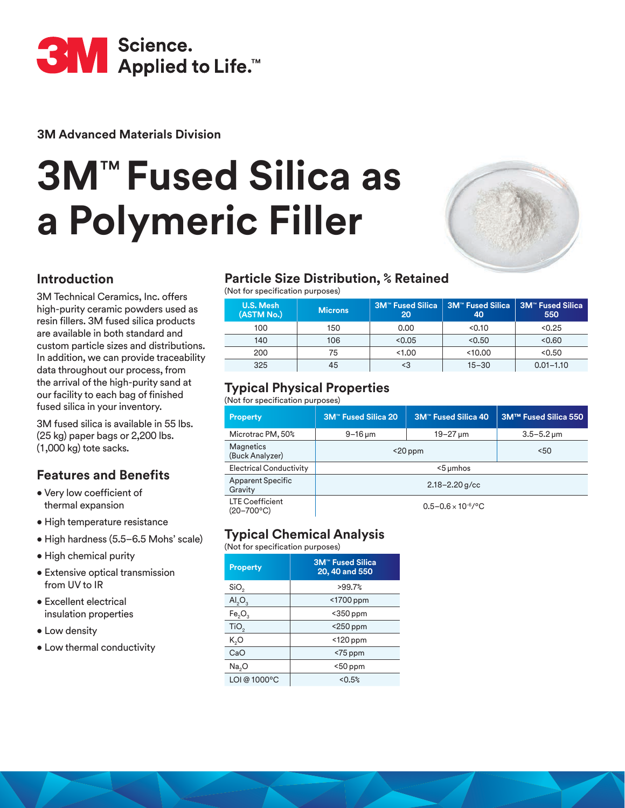

**3M Advanced Materials Division**

# **3M**™ **Fused Silica as a Polymeric Filler**



### **Introduction**

3M Technical Ceramics, Inc. offers high-purity ceramic powders used as resin fillers. 3M fused silica products are available in both standard and custom particle sizes and distributions. In addition, we can provide traceability data throughout our process, from the arrival of the high-purity sand at our facility to each bag of finished fused silica in your inventory.

3M fused silica is available in 55 lbs. (25 kg) paper bags or 2,200 lbs. (1,000 kg) tote sacks.

# **Features and Benefits**

- Very low coefficient of thermal expansion
- High temperature resistance
- High hardness (5.5–6.5 Mohs' scale)
- High chemical purity
- Extensive optical transmission from UV to IR
- Excellent electrical insulation properties
- Low density
- Low thermal conductivity

# **Particle Size Distribution, % Retained**

(Not for specification purposes)

| <b>U.S. Mesh</b><br>(ASTM No.) | <b>Microns</b> | <b>3M<sup>™</sup> Fused Silica</b><br>20 | <b>SM™ Fused Silica</b><br>40 | <b>3M™ Fused Silica</b><br>550 |
|--------------------------------|----------------|------------------------------------------|-------------------------------|--------------------------------|
| 100                            | 150            | 0.00                                     | < 0.10                        | < 0.25                         |
| 140                            | 106            | < 0.05                                   | < 0.50                        | < 0.60                         |
| 200                            | 75             | <1.00                                    | < 10.00                       | < 0.50                         |
| 325                            | 45             |                                          | $15 - 30$                     | $0.01 - 1.10$                  |

## **Typical Physical Properties**

#### (Not for specification purposes)

| <b>Property</b>                                 | 3M <sup>"</sup> Fused Silica 20           | <b>3M™ Fused Silica 40</b> | 3M™ Fused Silica 550    |
|-------------------------------------------------|-------------------------------------------|----------------------------|-------------------------|
| Microtrac PM, 50%                               | $9 - 16 \,\mathrm{\upmu m}$               | 19–27 µm                   | $3.5 - 5.2 \,\text{µm}$ |
| <b>Magnetics</b><br>(Buck Analyzer)             | $<$ 20 ppm                                |                            | 50<                     |
| <b>Electrical Conductivity</b>                  | $5 \mu m$ hos                             |                            |                         |
| <b>Apparent Specific</b><br>Gravity             | $2.18 - 2.20$ g/cc                        |                            |                         |
| <b>LTE Coefficient</b><br>$(20 - 700^{\circ}C)$ | $0.5 - 0.6 \times 10^{-6}$ <sup>o</sup> C |                            |                         |

# **Typical Chemical Analysis**

(Not for specification purposes)

| <b>Property</b>                | <b>3M<sup>™</sup> Fused Silica</b><br>20, 40 and 550 |
|--------------------------------|------------------------------------------------------|
| SiO <sub>2</sub>               | >99.7%                                               |
| AI <sub>2</sub> O <sub>3</sub> | <1700 ppm                                            |
| Fe <sub>2</sub> O <sub>3</sub> | $<$ 350 ppm                                          |
| TiO <sub>2</sub>               | <250 ppm                                             |
| K,O                            | $<$ 120 ppm                                          |
| CaO                            | $<$ 75 ppm                                           |
| Na <sub>2</sub> O              | $50$ ppm                                             |
| LOI @ 1000°C                   | < 0.5%                                               |